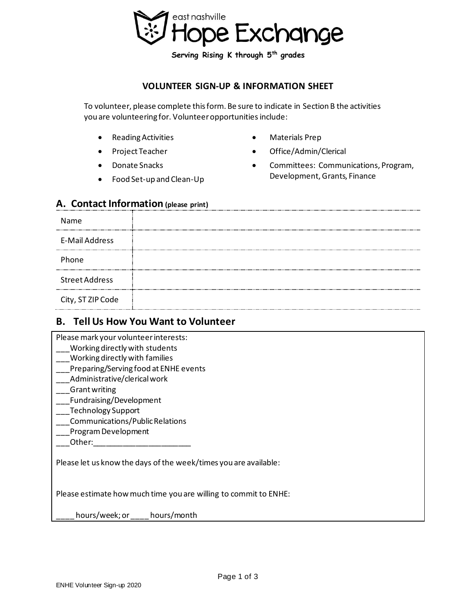

**Serving Rising K through 5th grades** 

#### **VOLUNTEER SIGN-UP & INFORMATION SHEET**

To volunteer, please complete this form. Be sure to indicate in Section B the activities you are volunteering for. Volunteer opportunities include:

- Reading Activities
- Project Teacher
- Donate Snacks
- Food Set-up and Clean-Up
- Materials Prep
- Office/Admin/Clerical
- Committees: Communications, Program, Development, Grants, Finance

#### **A. Contact Information (please print)**

| Name                  |  |
|-----------------------|--|
| <b>E-Mail Address</b> |  |
| Phone                 |  |
| <b>Street Address</b> |  |
| City, ST ZIP Code     |  |

## **B. Tell Us How You Want to Volunteer**

Please mark your volunteer interests:

- Working directly with students
- \_\_\_Working directly with families
- Preparing/Serving food at ENHE events
- \_\_\_Administrative/clerical work
- \_\_\_Grant writing
- \_\_\_Fundraising/Development
- \_\_\_Technology Support
- \_\_\_Communications/Public Relations
- \_\_\_Program Development
- Other:

Please let us know the days of the week/times you are available:

Please estimate how much time you are willing to commit to ENHE:

hours/week; or \_\_\_\_ hours/month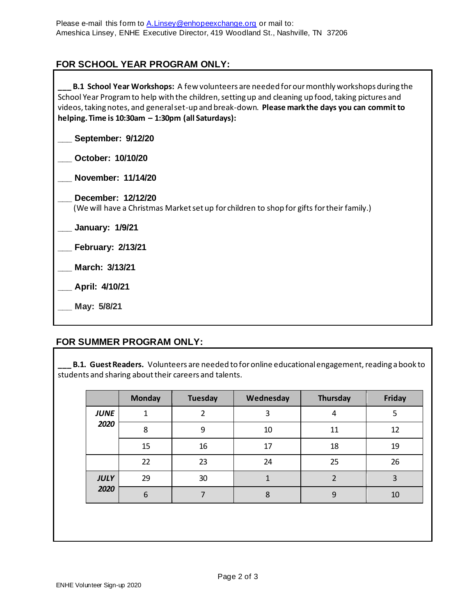# **FOR SCHOOL YEAR PROGRAM ONLY:**

**\_\_\_ B.1 School Year Workshops:** A few volunteers are needed for our monthly workshops during the School Year Program to help with the children, setting up and cleaning up food, taking pictures and videos, taking notes, and general set-up and break-down. **Please mark the days you can commit to helping. Time is 10:30am – 1:30pm (all Saturdays):**

**\_\_\_ September: 9/12/20**

**\_\_\_ October: 10/10/20**

**\_\_\_ November: 11/14/20**

**\_\_\_ December: 12/12/20** (We will have a Christmas Market set up for children to shop for gifts for their family.)

**\_\_\_ January: 1/9/21**

**\_\_\_ February: 2/13/21**

**\_\_\_ March: 3/13/21**

**\_\_\_ April: 4/10/21**

**\_\_\_ May: 5/8/21**

## **FOR SUMMER PROGRAM ONLY:**

**B.1. Guest Readers.** Volunteers are needed to for online educational engagement, reading a book to students and sharing about their careers and talents.

|             | <b>Monday</b> | Tuesday        | Wednesday | <b>Thursday</b>         | Friday |
|-------------|---------------|----------------|-----------|-------------------------|--------|
| <b>JUNE</b> | 1             | $\mathfrak{p}$ | 3         | 4                       | 5      |
| 2020        | 8             | 9              | 10        | 11                      | 12     |
|             | 15            | 16             | 17        | 18                      | 19     |
|             | 22            | 23             | 24        | 25                      | 26     |
| <b>JULY</b> | 29            | 30             |           | $\overline{\mathbf{c}}$ | 3      |
| 2020        | 6             | ⇁              | 8         | 9                       | 10     |